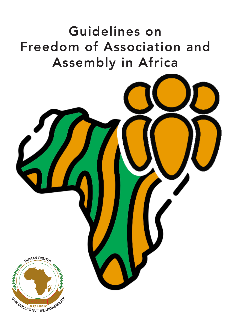# Guidelines on Freedom of Association and Assembly in Africa

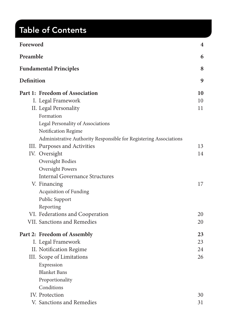## Table of Contents

| Foreword                                                       |                                                                   | 4           |  |                                |    |
|----------------------------------------------------------------|-------------------------------------------------------------------|-------------|--|--------------------------------|----|
| Preamble<br><b>Fundamental Principles</b><br><b>Definition</b> |                                                                   | 6<br>8<br>9 |  |                                |    |
|                                                                |                                                                   |             |  | Part 1: Freedom of Association | 10 |
|                                                                |                                                                   |             |  | I. Legal Framework             | 10 |
|                                                                | II. Legal Personality                                             | 11          |  |                                |    |
|                                                                | Formation                                                         |             |  |                                |    |
|                                                                | Legal Personality of Associations                                 |             |  |                                |    |
|                                                                | Notification Regime                                               |             |  |                                |    |
|                                                                | Administrative Authority Responsible for Registering Associations |             |  |                                |    |
|                                                                | III. Purposes and Activities                                      | 13          |  |                                |    |
|                                                                | IV. Oversight                                                     | 14          |  |                                |    |
|                                                                | Oversight Bodies                                                  |             |  |                                |    |
|                                                                | Oversight Powers                                                  |             |  |                                |    |
|                                                                | <b>Internal Governance Structures</b>                             |             |  |                                |    |
|                                                                | V. Financing                                                      | 17          |  |                                |    |
|                                                                | Acquisition of Funding                                            |             |  |                                |    |
|                                                                | Public Support                                                    |             |  |                                |    |
|                                                                | Reporting                                                         |             |  |                                |    |
|                                                                | VI. Federations and Cooperation                                   | 20          |  |                                |    |
|                                                                | VII. Sanctions and Remedies                                       | 20          |  |                                |    |
|                                                                | Part 2: Freedom of Assembly                                       | 23          |  |                                |    |
|                                                                | I. Legal Framework                                                | 23          |  |                                |    |
|                                                                | II. Notification Regime                                           | 24          |  |                                |    |
|                                                                | III. Scope of Limitations                                         | 26          |  |                                |    |
|                                                                | Expression                                                        |             |  |                                |    |
|                                                                | <b>Blanket Bans</b>                                               |             |  |                                |    |
|                                                                | Proportionality                                                   |             |  |                                |    |
|                                                                | Conditions                                                        |             |  |                                |    |
|                                                                | IV. Protection                                                    | 30          |  |                                |    |
|                                                                | V. Sanctions and Remedies                                         | 31          |  |                                |    |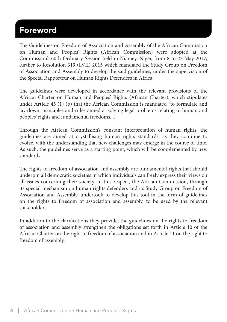### Foreword

The Guidelines on Freedom of Association and Assembly of the African Commission on Human and Peoples' Rights (African Commission) were adopted at the Commission's 60th Ordinary Session held in Niamey, Niger, from 8 to 22 May 2017; further to Resolution 319 (LVII) 2015 which mandated the Study Group on Freedom of Association and Assembly to develop the said guidelines, under the supervision of the Special Rapporteur on Human Rights Defenders in Africa.

The guidelines were developed in accordance with the relevant provisions of the African Charter on Human and Peoples' Rights (African Charter), which stipulates under Article 45 (1) (b) that the African Commission is mandated "to formulate and lay down, principles and rules aimed at solving legal problems relating to human and peoples' rights and fundamental freedoms...."

Through the African Commission's constant interpretation of human rights, the guidelines are aimed at crystallising human rights standards, as they continue to evolve, with the understanding that new challenges may emerge in the course of time. As such, the guidelines serve as a starting point, which will be complemented by new standards.

The rights to freedom of association and assembly are fundamental rights that should underpin all democratic societies in which individuals can freely express their views on all issues concerning their society. In this respect, the African Commission, through its special mechanism on human rights defenders and its Study Group on Freedom of Association and Assembly, undertook to develop this tool in the form of guidelines on the rights to freedom of association and assembly, to be used by the relevant stakeholders.

In addition to the clarifications they provide, the guidelines on the rights to freedom of association and assembly strengthen the obligations set forth in Article 10 of the African Charter on the right to freedom of association and in Article 11 on the right to freedom of assembly.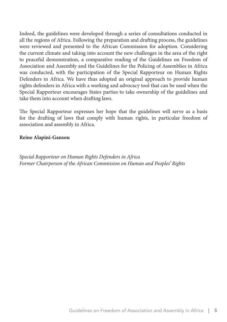Indeed, the guidelines were developed through a series of consultations conducted in all the regions of Africa. Following the preparation and drafting process, the guidelines were reviewed and presented to the African Commission for adoption. Considering the current climate and taking into account the new challenges in the area of the right to peaceful demonstration, a comparative reading of the Guidelines on Freedom of Association and Assembly and the Guidelines for the Policing of Assemblies in Africa was conducted, with the participation of the Special Rapporteur on Human Rights Defenders in Africa. We have thus adopted an original approach to provide human rights defenders in Africa with a working and advocacy tool that can be used when the Special Rapporteur encourages States parties to take ownership of the guidelines and take them into account when drafting laws.

The Special Rapporteur expresses her hope that the guidelines will serve as a basis for the drafting of laws that comply with human rights, in particular freedom of association and assembly in Africa.

#### **Reine Alapini-Gansou**

*Special Rapporteur on Human Rights Defenders in Africa Former Chairperson of the African Commission on Human and Peoples' Rights*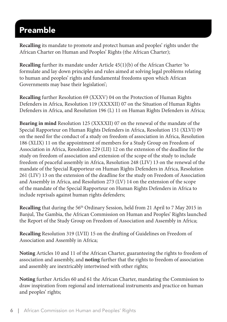### Preamble

**Recalling** its mandate to promote and protect human and peoples' rights under the African Charter on Human and Peoples' Rights (the African Charter);

**Recalling** further its mandate under Article 45(1)(b) of the African Charter 'to formulate and lay down principles and rules aimed at solving legal problems relating to human and peoples' rights and fundamental freedoms upon which African Governments may base their legislation';

**Recalling** further Resolution 69 (XXXV) 04 on the Protection of Human Rights Defenders in Africa, Resolution 119 (XXXXII) 07 on the Situation of Human Rights Defenders in Africa, and Resolution 196 (L) 11 on Human Rights Defenders in Africa;

**Bearing in mind** Resolution 125 (XXXXII) 07 on the renewal of the mandate of the Special Rapporteur on Human Rights Defenders in Africa, Resolution 151 (XLVI) 09 on the need for the conduct of a study on freedom of association in Africa, Resolution 186 (XLIX) 11 on the appointment of members for a Study Group on Freedom of Association in Africa, Resolution 229 (LII) 12 on the extension of the deadline for the study on freedom of association and extension of the scope of the study to include freedom of peaceful assembly in Africa, Resolution 248 (LIV) 13 on the renewal of the mandate of the Special Rapporteur on Human Rights Defenders in Africa, Resolution 261 (LIV) 13 on the extension of the deadline for the study on Freedom of Association and Assembly in Africa, and Resolution 273 (LV) 14 on the extension of the scope of the mandate of the Special Rapporteur on Human Rights Defenders in Africa to include reprisals against human rights defenders;

Recalling that during the 56<sup>th</sup> Ordinary Session, held from 21 April to 7 May 2015 in Banjul, The Gambia, the African Commission on Human and Peoples' Rights launched the Report of the Study Group on Freedom of Association and Assembly in Africa;

**Recalling** Resolution 319 (LVII) 15 on the drafting of Guidelines on Freedom of Association and Assembly in Africa;

**Noting** Articles 10 and 11 of the African Charter, guaranteeing the rights to freedom of association and assembly, and **noting** further that the rights to freedom of association and assembly are inextricably intertwined with other rights;

**Noting** further Articles 60 and 61 the African Charter, mandating the Commission to draw inspiration from regional and international instruments and practice on human and peoples' rights;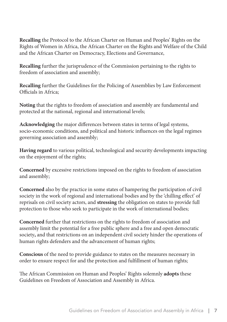**Recalling** the Protocol to the African Charter on Human and Peoples' Rights on the Rights of Women in Africa, the African Charter on the Rights and Welfare of the Child and the African Charter on Democracy, Elections and Governance,

**Recalling** further the jurisprudence of the Commission pertaining to the rights to freedom of association and assembly;

**Recalling** further the Guidelines for the Policing of Assemblies by Law Enforcement Officials in Africa;

**Noting** that the rights to freedom of association and assembly are fundamental and protected at the national, regional and international levels;

**Acknowledging** the major differences between states in terms of legal systems, socio-economic conditions, and political and historic influences on the legal regimes governing association and assembly;

**Having regard** to various political, technological and security developments impacting on the enjoyment of the rights;

**Concerned** by excessive restrictions imposed on the rights to freedom of association and assembly;

**Concerned** also by the practice in some states of hampering the participation of civil society in the work of regional and international bodies and by the 'chilling effect' of reprisals on civil society actors, and **stressing** the obligation on states to provide full protection to those who seek to participate in the work of international bodies;

**Concerned** further that restrictions on the rights to freedom of association and assembly limit the potential for a free public sphere and a free and open democratic society**,** and that restrictions on an independent civil society hinder the operations of human rights defenders and the advancement of human rights;

**Conscious** of the need to provide guidance to states on the measures necessary in order to ensure respect for and the protection and fulfillment of human rights;

The African Commission on Human and Peoples' Rights solemnly **adopts** these Guidelines on Freedom of Association and Assembly in Africa.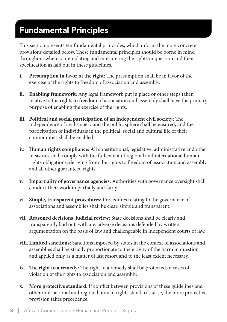### Fundamental Principles

This section presents ten fundamental principles, which inform the more concrete provisions detailed below. These fundamental principles should be borne in mind throughout when contemplating and interpreting the rights in question and their specification as laid out in these guidelines.

- **i. Presumption in favor of the right:** The presumption shall be in favor of the exercise of the rights to freedom of association and assembly.
- **ii. Enabling framework:** Any legal framework put in place or other steps taken relative to the rights to freedom of association and assembly shall have the primary purpose of enabling the exercise of the rights.
- **iii. Political and social participation of an independent civil society:** The independence of civil society and the public sphere shall be ensured, and the participation of individuals in the political, social and cultural life of their communities shall be enabled.
- **iv. Human rights compliance:** All constitutional, legislative, administrative and other measures shall comply with the full extent of regional and international human rights obligations, deriving from the rights to freedom of association and assembly and all other guaranteed rights.
- **v. Impartiality of governance agencies:** Authorities with governance oversight shall conduct their work impartially and fairly.
- **vi. Simple, transparent procedures:** Procedures relating to the governance of associations and assemblies shall be clear, simple and transparent.
- **vii. Reasoned decisions, judicial review:** State decisions shall be clearly and transparently laid out, with any adverse decisions defended by written argumentation on the basis of law and challengeable in independent courts of law.
- **viii. Limited sanctions:** Sanctions imposed by states in the context of associations and assemblies shall be strictly proportionate to the gravity of the harm in question and applied only as a matter of last resort and to the least extent necessary.
- **ix. The right to a remedy:** The right to a remedy shall be protected in cases of violation of the rights to association and assembly.
- **x. More protective standard:** If conflict between provisions of these guidelines and other international and regional human rights standards arise, the more protective provision takes precedence.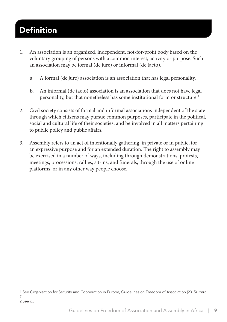### **Definition**

- 1. An association is an organized, independent, not-for-profit body based on the voluntary grouping of persons with a common interest, activity or purpose. Such an association may be formal (de jure) or informal (de facto).<sup>1</sup>
	- a. A formal (de jure) association is an association that has legal personality.
	- b. An informal (de facto) association is an association that does not have legal personality, but that nonetheless has some institutional form or structure.2
- 2. Civil society consists of formal and informal associations independent of the state through which citizens may pursue common purposes, participate in the political, social and cultural life of their societies, and be involved in all matters pertaining to public policy and public affairs.
- 3. Assembly refers to an act of intentionally gathering, in private or in public, for an expressive purpose and for an extended duration. The right to assembly may be exercised in a number of ways, including through demonstrations, protests, meetings, processions, rallies, sit-ins, and funerals, through the use of online platforms, or in any other way people choose.

<sup>1</sup> See Organisation for Security and Cooperation in Europe, Guidelines on Freedom of Association (2015), para. 7.

<sup>2</sup> See id.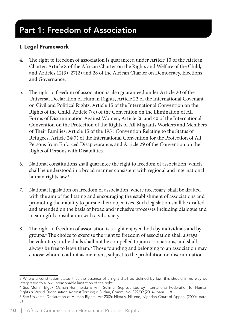### Part 1: Freedom of Association

#### I. Legal Framework

- 4. The right to freedom of association is guaranteed under Article 10 of the African Charter, Article 8 of the African Charter on the Rights and Welfare of the Child, and Articles 12(3), 27(2) and 28 of the African Charter on Democracy, Elections and Governance.
- 5. The right to freedom of association is also guaranteed under Article 20 of the Universal Declaration of Human Rights, Article 22 of the International Covenant on Civil and Political Rights, Article 15 of the International Convention on the Rights of the Child, Article 7(c) of the Convention on the Elimination of All Forms of Discrimination Against Women, Article 26 and 40 of the International Convention on the Protection of the Rights of All Migrants Workers and Members of Their Families, Article 15 of the 1951 Convention Relating to the Status of Refugees, Article 24(7) of the International Convention for the Protection of All Persons from Enforced Disappearance, and Article 29 of the Convention on the Rights of Persons with Disabilities.
- 6. National constitutions shall guarantee the right to freedom of association, which shall be understood in a broad manner consistent with regional and international human rights law.<sup>3</sup>
- 7. National legislation on freedom of association, where necessary, shall be drafted with the aim of facilitating and encouraging the establishment of associations and promoting their ability to pursue their objectives. Such legislation shall be drafted and amended on the basis of broad and inclusive processes including dialogue and meaningful consultation with civil society.
- 8. The right to freedom of association is a right enjoyed both by individuals and by groups.4 The choice to exercise the right to freedom of association shall always be voluntary; individuals shall not be compelled to join associations, and shall always be free to leave them.<sup>5</sup> Those founding and belonging to an association may choose whom to admit as members, subject to the prohibition on discrimination.

<sup>3</sup> Where a constitution states that the essence of a right shall be defined by law, this should in no way be interpreted to allow unreasonable limitation of the right.

<sup>4</sup> See Monim Elgak, Osman Hummeida & Amir Suliman (represented by International Federation for Human Rights & World Organisation Against Torture) v. Sudan, Comm. No. 379/09 (2014), para. 118.

<sup>5</sup> See Universal Declaration of Human Rights, Art 20(2); Nkpa v. Nkume, Nigerian Court of Appeal (2000), para. 51.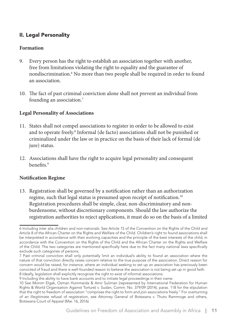#### II. Legal Personality

#### **Formation**

- 9. Every person has the right to establish an association together with another, free from limitations violating the right to equality and the guarantee of nondiscrimination.6 No more than two people shall be required in order to found an association.
- 10. The fact of past criminal conviction alone shall not prevent an individual from founding an association.7

#### **Legal Personality of Associations**

- 11. States shall not compel associations to register in order to be allowed to exist and to operate freely.<sup>8</sup> Informal (de facto) associations shall not be punished or criminalized under the law or in practice on the basis of their lack of formal (de jure) status.
- 12. Associations shall have the right to acquire legal personality and consequent benefits.<sup>9</sup>

#### **Notification Regime**

13. Registration shall be governed by a notification rather than an authorization regime, such that legal status is presumed upon receipt of notification.<sup>10</sup> Registration procedures shall be simple, clear, non-discriminatory and nonburdensome, without discretionary components. Should the law authorize the registration authorities to reject applications, it must do so on the basis of a limited

<sup>6</sup> Including inter alia children and non-nationals. See Article 15 of the Convention on the Rights of the Child and Article 8 of the African Charter on the Rights and Welfare of the Child. Children's right to found associations shall be interpreted in accordance with their evolving capacities and the principle of the best interests of the child, in accordance with the Convention on the Rights of the Child and the African Charter on the Rights and Welfare of the Child. The two categories are mentioned specifically here due to the fact many national laws specifically exclude such categories of persons.

<sup>7</sup> Past criminal conviction shall only potentially limit an individual's ability to found an association where the nature of that conviction directly raises concern relative to the true purpose of the association. Direct reason for concern would be raised, for instance, where an individual seeking to set up an association has previously been convicted of fraud and there is well-founded reason to believe the association is not being set up in good faith. 8 Ideally, legislation shall explicitly recognize the right to exist of informal associations.

<sup>9</sup> Including the ability to have bank accounts and to initiate legal proceedings in their name.

<sup>10</sup> See Monim Elgak, Osman Hummeida & Amir Suliman (represented by International Federation for Human Rights & World Organisation Against Torture) v. Sudan, Comm. No. 379/09 (2014), paras. 118 for the stipulation that the right to freedom of association "comprises the right to form and join associations freely." For overturning of an illegitimate refusal of registration, see Attorney General of Botswana v. Thuto Rammoge and others, Botswana Court of Appeal (Mar. 16, 2016).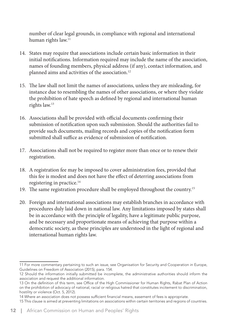number of clear legal grounds, in compliance with regional and international human rights law.<sup>11</sup>

- 14. States may require that associations include certain basic information in their initial notifications. Information required may include the name of the association, names of founding members, physical address (if any), contact information, and planned aims and activities of the association.<sup>12</sup>
- 15. The law shall not limit the names of associations, unless they are misleading, for instance due to resembling the names of other associations, or where they violate the prohibition of hate speech as defined by regional and international human rights law.13
- 16. Associations shall be provided with official documents confirming their submission of notification upon such submission. Should the authorities fail to provide such documents, mailing records and copies of the notification form submitted shall suffice as evidence of submission of notification.
- 17. Associations shall not be required to register more than once or to renew their registration.
- 18. A registration fee may be imposed to cover administration fees, provided that this fee is modest and does not have the effect of deterring associations from registering in practice.14
- 19. The same registration procedure shall be employed throughout the country.15
- 20. Foreign and international associations may establish branches in accordance with procedures duly laid down in national law. Any limitations imposed by states shall be in accordance with the principle of legality, have a legitimate public purpose, and be necessary and proportionate means of achieving that purpose within a democratic society, as these principles are understood in the light of regional and international human rights law.

<sup>11</sup> For more commentary pertaining to such an issue, see Organisation for Security and Cooperation in Europe, Guidelines on Freedom of Association (2015), para. 154.

<sup>12</sup> Should the information initially submitted be incomplete, the administrative authorities should inform the association and request the additional information.

<sup>13</sup> On the definition of this term, see Office of the High Commissioner for Human Rights, Rabat Plan of Action on the prohibition of advocacy of national, racial or religious hatred that constitutes incitement to discrimination, hostility or violence (Oct. 5, 2012).

<sup>14</sup> Where an association does not possess sufficient financial means, easement of fees is appropriate.

<sup>15</sup> This clause is aimed at preventing limitations on associations within certain territories and regions of countries.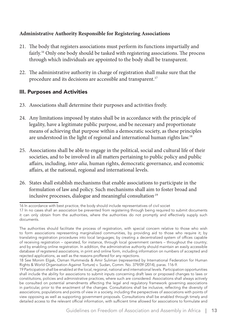#### **Administrative Authority Responsible for Registering Associations**

- 21. The body that registers associations must perform its functions impartially and fairly.16 Only one body should be tasked with registering associations. The process through which individuals are appointed to the body shall be transparent.
- 22. The administrative authority in charge of registration shall make sure that the procedure and its decisions are accessible and transparent.<sup>17</sup>

#### III. Purposes and Activities

- 23. Associations shall determine their purposes and activities freely.
- 24. Any limitations imposed by states shall be in accordance with the principle of legality, have a legitimate public purpose, and be necessary and proportionate means of achieving that purpose within a democratic society, as these principles are understood in the light of regional and international human rights law.18
- 25. Associations shall be able to engage in the political, social and cultural life of their societies, and to be involved in all matters pertaining to public policy and public affairs, including, *inter alia*, human rights, democratic governance, and economic affairs, at the national, regional and international levels.
- 26. States shall establish mechanisms that enable associations to participate in the formulation of law and policy. Such mechanisms shall aim to foster broad and inclusive processes, dialogue and meaningful consultation.<sup>19</sup>

<sup>16</sup> In accordance with best practice, the body should include representatives of civil societ

<sup>17</sup> In no cases shall an association be prevented from registering through being required to submit documents it can only obtain from the authorities, where the authorities do not promptly and effectively supply such documents.

The authorities should facilitate the process of registration, with special concern relative to those who wish to form associations representing marginalized communities, by providing aid to those who require it; by translating registration procedures into local languages; by creating a decentralized system of offices capable of receiving registration – operated, for instance, through local government centers – throughout the country; and by enabling online registration. In addition, the administrative authority should maintain an easily accessible database of registered associations, in print and online form, including information on numbers of accepted and rejected applications, as well as the reasons proffered for any rejections.

<sup>18</sup> See Monim Elgak, Osman Hummeida & Amir Suliman (represented by International Federation for Human Rights & World Organisation Against Torture) v. Sudan, Comm. No. 379/09 (2014), paras. 116-9.

<sup>19</sup> Participation shall be enabled at the local, regional, national and international levels. Participation opportunities shall include the ability for associations to submit inputs concerning draft laws or proposed changes to laws or constitutions, policies and administrative practices, where such are considered. Associations shall always actively be consulted on potential amendments affecting the legal and regulatory framework governing associations in particular, prior to the enactment of the changes. Consultations shall be inclusive, reflecting the diversity of associations, populations and points of view in a society, including the perspectives of associations with points of view opposing as well as supporting government proposals. Consultations shall be enabled through timely and detailed access to the relevant official information, with sufficient time allowed for associations to formulate and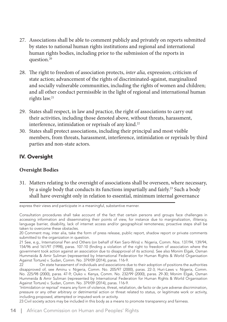- 27. Associations shall be able to comment publicly and privately on reports submitted by states to national human rights institutions and regional and international human rights bodies, including prior to the submission of the reports in question.20
- 28. The right to freedom of association protects, *inter alia,* expression; criticism of state action; advancement of the rights of discriminated-against, marginalized and socially vulnerable communities, including the rights of women and children; and all other conduct permissible in the light of regional and international human rights law.21
- 29. States shall respect, in law and practice, the right of associations to carry out their activities, including those denoted above, without threats, harassment, interference, intimidation or reprisals of any kind.<sup>22</sup>
- 30. States shall protect associations, including their principal and most visible members, from threats, harassment, interference, intimidation or reprisals by third parties and non-state actors.

#### IV. Oversight

#### **Oversight Bodies**

31. Matters relating to the oversight of associations shall be overseen, where necessary, by a single body that conducts its functions impartially and fairly.23 Such a body shall have oversight only in relation to essential, minimum internal governance

express their views and participate in a meaningful, substantive manner.

23 Civil society actors may be included in this body as a means to promote transparency and fairness.

Consultation procedures shall take account of the fact that certain persons and groups face challenges in accessing information and disseminating their points of view, for instance due to marginalization, illiteracy, language barrier, disability, lack of internet access and/or geographical remoteness; proactive steps shall be taken to overcome these obstacles.

<sup>20</sup> Comment may, inter alia, take the form of press release, public report, shadow report or private comments submitted to the organization in question.

<sup>21</sup> See, e.g., International Pen and Others (on behalf of Ken Saro-Wira) v. Nigeria, Comm. Nos. 137/94, 139/94, 154/96 and 161/97 (1998), paras. 107-10 (finding a violation of the right to freedom of association where the government took action against an association due to disapproval of its actions). See also Monim Elgak, Osman Hummeida & Amir Suliman (represented by International Federation for Human Rights & World Organisation Against Torture) v. Sudan, Comm. No. 379/09 (2014), paras. 116-9.

<sup>22</sup> On state harassment of individuals and associations due to their adoption of positions the authorities disapproved of, see Aminu v. Nigeria, Comm. No. 205/97 (2000), paras. 22-3; Huri-Laws v. Nigeria, Comm. No. 225/98 (2000), paras. 47-9; Ouko v. Kenya, Comm. No. 232/99 (2000), paras. 29-30; Monim Elgak, Osman Hummeida & Amir Suliman (represented by International Federation for Human Rights & World Organisation Against Torture) v. Sudan, Comm. No. 379/09 (2014), paras. 116-9.

<sup>&#</sup>x27;Intimidation or reprisal' means any form of violence, threat, retaliation, de facto or de jure adverse discrimination, pressure or any other arbitrary or detrimental action or threat related to status, or legitimate work or activity, including proposed, attempted or imputed work or activity.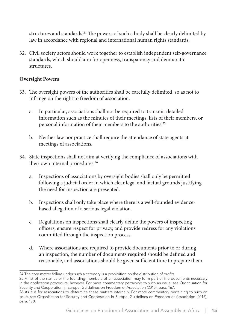structures and standards.<sup>24</sup> The powers of such a body shall be clearly delimited by law in accordance with regional and international human rights standards.

32. Civil society actors should work together to establish independent self-governance standards, which should aim for openness, transparency and democratic structures.

#### **Oversight Powers**

- 33. The oversight powers of the authorities shall be carefully delimited, so as not to infringe on the right to freedom of association.
	- a. In particular, associations shall not be required to transmit detailed information such as the minutes of their meetings, lists of their members, or personal information of their members to the authorities.25
	- b. Neither law nor practice shall require the attendance of state agents at meetings of associations.
- 34. State inspections shall not aim at verifying the compliance of associations with their own internal procedures.<sup>26</sup>
	- a. Inspections of associations by oversight bodies shall only be permitted following a judicial order in which clear legal and factual grounds justifying the need for inspection are presented.
	- b. Inspections shall only take place where there is a well-founded evidencebased allegation of a serious legal violation.
	- c. Regulations on inspections shall clearly define the powers of inspecting officers, ensure respect for privacy, and provide redress for any violations committed through the inspection process.
	- d. Where associations are required to provide documents prior to or during an inspection, the number of documents required should be defined and reasonable, and associations should be given sufficient time to prepare them

<sup>24</sup> The core matter falling under such a category is a prohibition on the distribution of profits.

<sup>25</sup> A list of the names of the founding members of an association may form part of the documents necessary in the notification procedure, however. For more commentary pertaining to such an issue, see Organisation for Security and Cooperation in Europe, Guidelines on Freedom of Association (2015), para. 167.

<sup>26</sup> As it is for associations to determine these matters internally. For more commentary pertaining to such an issue, see Organisation for Security and Cooperation in Europe, Guidelines on Freedom of Association (2015), para. 178.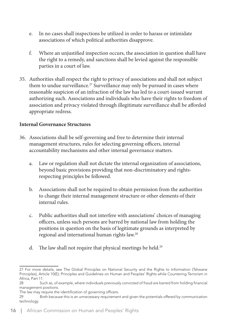- e. In no cases shall inspections be utilized in order to harass or intimidate associations of which political authorities disapprove.
- f. Where an unjustified inspection occurs, the association in question shall have the right to a remedy, and sanctions shall be levied against the responsible parties in a court of law.
- 35. Authorities shall respect the right to privacy of associations and shall not subject them to undue surveillance.<sup>27</sup> Surveillance may only be pursued in cases where reasonable suspicion of an infraction of the law has led to a court-issued warrant authorizing such. Associations and individuals who have their rights to freedom of association and privacy violated through illegitimate surveillance shall be afforded appropriate redress.

#### **Internal Governance Structures**

- 36. Associations shall be self-governing and free to determine their internal management structures, rules for selecting governing officers, internal accountability mechanisms and other internal governance matters.
	- a. Law or regulation shall not dictate the internal organization of associations, beyond basic provisions providing that non-discriminatory and rightsrespecting principles be followed.
	- b. Associations shall not be required to obtain permission from the authorities to change their internal management structure or other elements of their internal rules.
	- c. Public authorities shall not interfere with associations' choices of managing officers, unless such persons are barred by national law from holding the positions in question on the basis of legitimate grounds as interpreted by regional and international human rights law.28
	- d. The law shall not require that physical meetings be held.<sup>29</sup>

The law may require the identification of governing officers.

<sup>27</sup> For more details, see The Global Principles on National Security and the Rights to Information (Tshwane Principles), Article 10(E); Principles and Guidelines on Human and Peoples' Rights while Countering Terrorism in Africa, Part 11.

<sup>28</sup> Such as, of example, where individuals previously convicted of fraud are barred from holding financial management positions.

<sup>29</sup> Both because this is an unnecessary requirement and given the potentials offered by communication technology.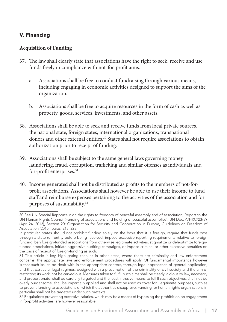#### V. Financing

#### **Acquisition of Funding**

- 37. The law shall clearly state that associations have the right to seek, receive and use funds freely in compliance with not-for-profit aims.
	- a. Associations shall be free to conduct fundraising through various means, including engaging in economic activities designed to support the aims of the organization.
	- b. Associations shall be free to acquire resources in the form of cash as well as property, goods, services, investments, and other assets.
- 38. Associations shall be able to seek and receive funds from local private sources, the national state, foreign states, international organizations, transnational donors and other external entities.<sup>30</sup> States shall not require associations to obtain authorization prior to receipt of funding.
- 39. Associations shall be subject to the same general laws governing money laundering, fraud, corruption, trafficking and similar offenses as individuals and for-profit enterprises.<sup>31</sup>
- 40. Income generated shall not be distributed as profits to the members of not-forprofit associations. Associations shall however be able to use their income to fund staff and reimburse expenses pertaining to the activities of the association and for purposes of sustainability.32

32 Regulations preventing excessive salaries, which may be a means of bypassing the prohibition on engagement in for-profit activities, are however reasonable.

<sup>30</sup> See UN Special Rapporteur on the rights to freedom of peaceful assembly and of association, Report to the UN Human Rights Council (Funding of associations and holding of peaceful assemblies), UN Doc. A/HRC/23/39 (Apr. 24, 2013), Section 20; Organisation for Security and Cooperation in Europe, Guidelines on Freedom of Association (2015), paras. 218, 223.

In particular, states should not prohibit funding solely on the basis that it is foreign, require that funds pass through a state-run entity before being received, impose excessive reporting requirements relative to foreign funding, ban foreign-funded associations from otherwise legitimate activities, stigmatize or delegitimize foreignfunded associations, initiate aggressive auditing campaigns, or impose criminal or other excessive penalties on the basis of receipt of foreign-funding as such.

<sup>31</sup> This article is key, highlighting that, as in other areas, where there are criminality and law enforcement concerns, the appropriate laws and enforcement procedures will apply. Of fundamental importance however is that such issues be dealt with in the appropriate context, through legal approaches of general application, and that particular legal regimes, designed with a presumption of the criminality of civil society and the aim of restricting its work, not be carved out. Measures taken to fulfill such aims shall be clearly laid out by law, necessary and proportionate, shall be carefully targeted and the least intrusive means to fulfill such objectives, shall not be overly burdensome, shall be impartially applied and shall not be used as cover for illegitimate purposes, such as to prevent funding to associations of which the authorities disapprove. Funding for human rights organizations in particular shall not be targeted under such pretexts.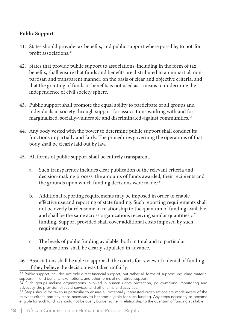#### **Public Support**

- 41. States should provide tax benefits, and public support where possible, to not-forprofit associations.33
- 42. States that provide public support to associations, including in the form of tax benefits, shall ensure that funds and benefits are distributed in an impartial, nonpartisan and transparent manner, on the basis of clear and objective criteria, and that the granting of funds or benefits is not used as a means to undermine the independence of civil society sphere.
- 43. Public support shall promote the equal ability to participate of all groups and individuals in society through support for associations working with and for marginalized, socially-vulnerable and discriminated-against communities.<sup>34</sup>
- 44. Any body vested with the power to determine public support shall conduct its functions impartially and fairly. The procedures governing the operations of that body shall be clearly laid out by law.
- 45. All forms of public support shall be entirely transparent.
	- a. Such transparency includes clear publication of the relevant criteria and decision-making process, the amounts of funds awarded, their recipients and the grounds upon which funding decisions were made.<sup>35</sup>
	- b. Additional reporting requirements may be imposed in order to enable effective use and reporting of state funding. Such reporting requirements shall not be overly burdensome in relationship to the quantum of funding available, and shall be the same across organizations receiving similar quantities of funding. Support provided shall cover additional costs imposed by such requirements.
	- c. The levels of public funding available, both in total and to particular organizations, shall be clearly stipulated in advance.
- 46. Associations shall be able to approach the courts for review of a denial of funding if they believe the decision was taken unfairly.

<sup>33</sup> Public support includes not only direct financial support, but rather all forms of support, including material support, in-kind benefits, exemptions, and other forms of non-direct support.

<sup>34</sup> Such groups include organizations involved in human rights protection, policy-making, monitoring and advocacy, the provision of social services, and other aims and activities.

<sup>35</sup> Steps should be taken in particular to ensure all potentially interested organizations are made aware of the relevant criteria and any steps necessary to become eligible for such funding. Any steps necessary to become eligible for such funding should not be overly burdensome in relationship to the quantum of funding available.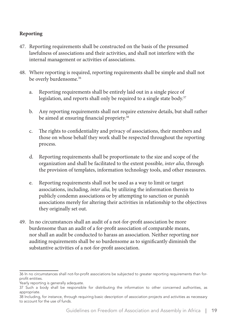#### **Reporting**

- 47. Reporting requirements shall be constructed on the basis of the presumed lawfulness of associations and their activities, and shall not interfere with the internal management or activities of associations.
- 48. Where reporting is required, reporting requirements shall be simple and shall not be overly burdensome.<sup>36</sup>
	- a. Reporting requirements shall be entirely laid out in a single piece of legislation, and reports shall only be required to a single state body.<sup>37</sup>
	- b. Any reporting requirements shall not require extensive details, but shall rather be aimed at ensuring financial propriety.<sup>38</sup>
	- c. The rights to confidentiality and privacy of associations, their members and those on whose behalf they work shall be respected throughout the reporting process.
	- d. Reporting requirements shall be proportionate to the size and scope of the organization and shall be facilitated to the extent possible, *inter alia*, through the provision of templates, information technology tools, and other measures.
	- e. Reporting requirements shall not be used as a way to limit or target associations, including, *inter alia,* by utilizing the information therein to publicly condemn associations or by attempting to sanction or punish associations merely for altering their activities in relationship to the objectives they originally set out.
- 49. In no circumstances shall an audit of a not-for-profit association be more burdensome than an audit of a for-profit association of comparable means, nor shall an audit be conducted to harass an association. Neither reporting nor auditing requirements shall be so burdensome as to significantly diminish the substantive activities of a not-for-profit association.

<sup>36</sup> In no circumstances shall not-for-profit associations be subjected to greater reporting requirements than forprofit entities.

Yearly reporting is generally adequate.

<sup>37</sup> Such a body shall be responsible for distributing the information to other concerned authorities, as appropriate.

<sup>38</sup> Including, for instance, through requiring basic description of association projects and activities as necessary to account for the use of funds.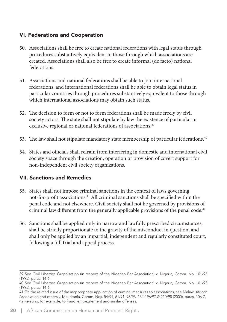#### VI. Federations and Cooperation

- 50. Associations shall be free to create national federations with legal status through procedures substantively equivalent to those through which associations are created. Associations shall also be free to create informal (de facto) national federations.
- 51. Associations and national federations shall be able to join international federations, and international federations shall be able to obtain legal status in particular countries through procedures substantively equivalent to those through which international associations may obtain such status.
- 52. The decision to form or not to form federations shall be made freely by civil society actors. The state shall not stipulate by law the existence of particular or exclusive regional or national federations of associations.<sup>39</sup>
- 53. The law shall not stipulate mandatory state membership of particular federations.<sup>40</sup>
- 54. States and officials shall refrain from interfering in domestic and international civil society space through the creation, operation or provision of covert support for non-independent civil society organizations.

#### VII. Sanctions and Remedies

- 55. States shall not impose criminal sanctions in the context of laws governing not-for-profit associations.41 All criminal sanctions shall be specified within the penal code and not elsewhere. Civil society shall not be governed by provisions of criminal law different from the generally applicable provisions of the penal code.<sup>42</sup>
- 56. Sanctions shall be applied only in narrow and lawfully prescribed circumstances, shall be strictly proportionate to the gravity of the misconduct in question, and shall only be applied by an impartial, independent and regularly constituted court, following a full trial and appeal process.

<sup>39</sup> See Civil Liberties Organisation (in respect of the Nigerian Bar Association) v. Nigeria, Comm. No. 101/93 (1995), paras. 14-6.

<sup>40</sup> See Civil Liberties Organisation (in respect of the Nigerian Bar Association) v. Nigeria, Comm. No. 101/93 (1995), paras. 14-6.

<sup>41</sup> On the related issue of the inappropriate application of criminal measures to associations, see Malawi African Association and others v. Mauritania, Comm. Nos. 54/91, 61/91, 98/93, 164-196/97 & 210/98 (2000), paras. 106-7. 42 Relating, for example, to fraud, embezzlement and similar offenses.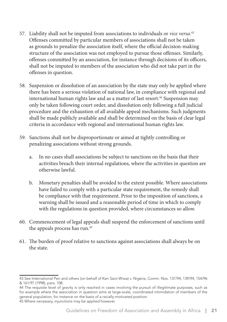- 57. Liability shall not be imputed from associations to individuals or *vice versa*. 43 Offenses committed by particular members of associations shall not be taken as grounds to penalize the association itself, where the official decision-making structure of the association was not employed to pursue those offenses. Similarly, offenses committed by an association, for instance through decisions of its officers, shall not be imputed to members of the association who did not take part in the offenses in question.
- 58. Suspension or dissolution of an association by the state may only be applied where there has been a serious violation of national law, in compliance with regional and international human rights law and as a matter of last resort.<sup>44</sup> Suspension may only be taken following court order, and dissolution only following a full judicial procedure and the exhaustion of all available appeal mechanisms. Such judgments shall be made publicly available and shall be determined on the basis of clear legal criteria in accordance with regional and international human rights law.
- 59. Sanctions shall not be disproportionate or aimed at tightly controlling or penalizing associations without strong grounds.
	- a. In no cases shall associations be subject to sanctions on the basis that their activities breach their internal regulations, where the activities in question are otherwise lawful.
	- b. Monetary penalties shall be avoided to the extent possible. Where associations have failed to comply with a particular state requirement, the remedy shall be compliance with that requirement. Prior to the imposition of sanctions, a warning shall be issued and a reasonable period of time in which to comply with the regulations in question provided, where circumstances so allow.
- 60. Commencement of legal appeals shall suspend the enforcement of sanctions until the appeals process has run.45
- 61. The burden of proof relative to sanctions against associations shall always be on the state.

Guidelines on Freedom of Association and Assembly in Africa | 21

<sup>43</sup> See International Pen and others (on behalf of Ken Saro-Wiwa) v. Nigeria, Comm. Nos. 137/94, 139/94, 154/96 & 161/97 (1998), para. 108.

<sup>44</sup> The requisite level of gravity is only reached in cases involving the pursuit of illegitimate purposes, such as for example where the association in question aims at large-scale, coordinated intimidation of members of the general population, for instance on the basis of a racially-motivated position. 45 Where necessary, injunctions may be applied however.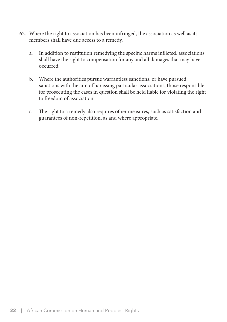- 62. Where the right to association has been infringed, the association as well as its members shall have due access to a remedy.
	- a. In addition to restitution remedying the specific harms inflicted, associations shall have the right to compensation for any and all damages that may have occurred.
	- b. Where the authorities pursue warrantless sanctions, or have pursued sanctions with the aim of harassing particular associations, those responsible for prosecuting the cases in question shall be held liable for violating the right to freedom of association.
	- c. The right to a remedy also requires other measures, such as satisfaction and guarantees of non-repetition, as and where appropriate.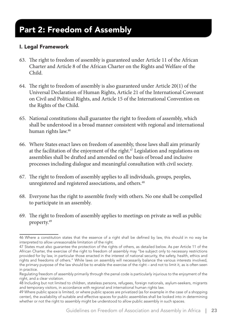### Part 2: Freedom of Assembly

#### I. Legal Framework

- 63. The right to freedom of assembly is guaranteed under Article 11 of the African Charter and Article 8 of the African Charter on the Rights and Welfare of the Child.
- 64. The right to freedom of assembly is also guaranteed under Article 20(1) of the Universal Declaration of Human Rights, Article 21 of the International Covenant on Civil and Political Rights, and Article 15 of the International Convention on the Rights of the Child.
- 65. National constitutions shall guarantee the right to freedom of assembly, which shall be understood in a broad manner consistent with regional and international human rights law.46
- 66. Where States enact laws on freedom of assembly, those laws shall aim primarily at the facilitation of the enjoyment of the right.47 Legislation and regulations on assemblies shall be drafted and amended on the basis of broad and inclusive processes including dialogue and meaningful consultation with civil society.
- 67. The right to freedom of assembly applies to all individuals, groups, peoples, unregistered and registered associations, and others.<sup>48</sup>
- 68. Everyone has the right to assemble freely with others. No one shall be compelled to participate in an assembly.
- 69. The right to freedom of assembly applies to meetings on private as well as public property.49

<sup>46</sup> Where a constitution states that the essence of a right shall be defined by law, this should in no way be interpreted to allow unreasonable limitation of the right.

<sup>47</sup> States must also guarantee the protection of the rights of others, as detailed below. As per Article 11 of the African Charter, the exercise of the right to freedom of assembly may "be subject only to necessary restrictions provided for by law, in particular those enacted in the interest of national security, the safety, health, ethics and rights and freedoms of others." While laws on assembly will necessarily balance the various interests involved, the primary purpose of the law should be to enable the exercise of the right – and not to limit it, as is often seen in practice.

Regulating freedom of assembly primarily through the penal code is particularly injurious to the enjoyment of the right, and a clear violation.

<sup>48</sup> Including but not limited to children, stateless persons, refugees, foreign nationals, asylum-seekers, migrants and temporary visitors, in accordance with regional and international human rights law.

<sup>49</sup> Where public space is limited, or where public spaces are privatized (as for example in the case of a shopping center), the availability of suitable and effective spaces for public assemblies shall be looked into in determining whether or not the right to assembly might be understood to allow public assembly in such spaces.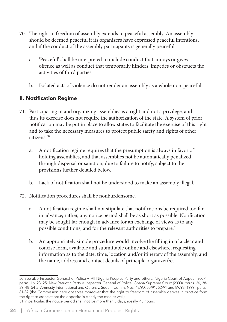- 70. The right to freedom of assembly extends to peaceful assembly. An assembly should be deemed peaceful if its organizers have expressed peaceful intentions, and if the conduct of the assembly participants is generally peaceful.
	- a. 'Peaceful' shall be interpreted to include conduct that annoys or gives offence as well as conduct that temporarily hinders, impedes or obstructs the activities of third parties.
	- b. Isolated acts of violence do not render an assembly as a whole non-peaceful.

#### II. Notification Regime

- 71. Participating in and organizing assemblies is a right and not a privilege, and thus its exercise does not require the authorization of the state. A system of prior notification may be put in place to allow states to facilitate the exercise of this right and to take the necessary measures to protect public safety and rights of other citizens<sup>50</sup>
	- a. A notification regime requires that the presumption is always in favor of holding assemblies, and that assemblies not be automatically penalized, through dispersal or sanction, due to failure to notify, subject to the provisions further detailed below.
	- b. Lack of notification shall not be understood to make an assembly illegal.
- 72. Notification procedures shall be nonburdensome.
	- a. A notification regime shall not stipulate that notifications be required too far in advance; rather, any notice period shall be as short as possible. Notification may be sought far enough in advance for an exchange of views as to any possible conditions, and for the relevant authorities to prepare.<sup>51</sup>
	- b. An appropriately simple procedure would involve the filling in of a clear and concise form, available and submittable online and elsewhere, requesting information as to the date, time, location and/or itinerary of the assembly, and the name, address and contact details of principle organizer(s).

<sup>50</sup> See also Inspector-General of Police v. All Nigeria Peoples Party and others, Nigeria Court of Appeal (2007), paras. 16, 23, 25; New Patriotic Party v. Inspector General of Police, Ghana Supreme Court (2000), paras. 26, 38- 39, 48, 54-5; Amnesty International and Others v. Sudan, Comm. Nos. 48/90, 50/91, 52/91 and 89/93 (1999), paras. 81-82 (the Commission here observes moreover that the right to freedom of assembly derives in practice form the right to association; the opposite is clearly the case as well).

<sup>51</sup> In particular, the notice period shall not be more than 5 days; ideally, 48 hours.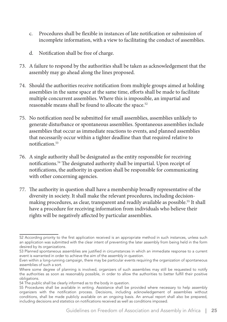- c. Procedures shall be flexible in instances of late notification or submission of incomplete information, with a view to facilitating the conduct of assemblies.
- d. Notification shall be free of charge.
- 73. A failure to respond by the authorities shall be taken as acknowledgement that the assembly may go ahead along the lines proposed.
- 74. Should the authorities receive notification from multiple groups aimed at holding assemblies in the same space at the same time, efforts shall be made to facilitate multiple concurrent assemblies. Where this is impossible, an impartial and reasonable means shall be found to allocate the space.<sup>52</sup>
- 75. No notification need be submitted for small assemblies, assemblies unlikely to generate disturbance or spontaneous assemblies. Spontaneous assemblies include assemblies that occur as immediate reactions to events, and planned assemblies that necessarily occur within a tighter deadline than that required relative to notification<sup>53</sup>
- 76. A single authority shall be designated as the entity responsible for receiving notifications.54 The designated authority shall be impartial. Upon receipt of notifications, the authority in question shall be responsible for communicating with other concerning agencies.
- 77. The authority in question shall have a membership broadly representative of the diversity in society. It shall make the relevant procedures, including decisionmaking procedures, as clear, transparent and readily available as possible.55 It shall have a procedure for receiving information from individuals who believe their rights will be negatively affected by particular assemblies.

<sup>52</sup> According priority to the first application received is an appropriate method in such instances, unless such an application was submitted with the clear intent of preventing the later assembly from being held in the form desired by its organizations.

<sup>53</sup> Planned spontaneous assemblies are justified in circumstances in which an immediate response to a current event is warranted in order to achieve the aim of the assembly in question.

Even within a long-running campaign, there may be particular events requiring the organization of spontaneous assemblies of such a sort.

Where some degree of planning is involved, organizers of such assemblies may still be requested to notify the authorities as soon as reasonably possible, in order to allow the authorities to better fulfill their positive obligations.

<sup>54</sup> The public shall be clearly informed as to the body in question.

<sup>55</sup> Procedures shall be available in writing. Assistance shall be provided where necessary to help assembly organizers with the notification process. Decisions, including acknowledgement of assemblies without conditions, shall be made publicly available on an ongoing basis. An annual report shall also be prepared, including decisions and statistics on notifications received as well as conditions imposed.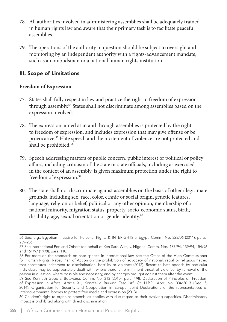- 78. All authorities involved in administering assemblies shall be adequately trained in human rights law and aware that their primary task is to facilitate peaceful assemblies.
- 79. The operations of the authority in question should be subject to oversight and monitoring by an independent authority with a rights-advancement mandate, such as an ombudsman or a national human rights institution.

#### III. Scope of Limitations

#### **Freedom of Expression**

- 77. States shall fully respect in law and practice the right to freedom of expression through assembly.<sup>56</sup> States shall not discriminate among assemblies based on the expression involved.
- 78. The expression aimed at in and through assemblies is protected by the right to freedom of expression, and includes expression that may give offense or be provocative.57 Hate speech and the incitement of violence are not protected and shall be prohibited.<sup>58</sup>
- 79. Speech addressing matters of public concern, public interest or political or policy affairs, including criticism of the state or state officials, including as exercised in the context of an assembly, is given maximum protection under the right to freedom of expression.59
- 80. The state shall not discriminate against assemblies on the basis of other illegitimate grounds, including sex, race, color, ethnic or social origin, genetic features, language, religion or belief, political or any other opinion, membership of a national minority, migration status, property, socio-economic status, birth, disability, age, sexual orientation or gender identity.<sup>60</sup>

<sup>56</sup> See, e.g., Egyptian Initiative for Personal Rights & INTERIGHTS v. Egypt, Comm. No. 323/06 (2011), paras. 239-256.

<sup>57</sup> See International Pen and Others (on behalf of Ken Saro-Wira) v. Nigeria, Comm. Nos. 137/94, 139/94, 154/96 and 161/97 (1998), para. 110.

<sup>58</sup> For more on the standards on hate speech in international law, see the Office of the High Commissioner for Human Rights, Rabat Plan of Action on the prohibition of advocacy of national, racial or religious hatred that constitutes incitement to discrimination, hostility or violence (2012). Resort to hate speech by particular individuals may be appropriately dealt with, where there is no imminent threat of violence, by removal of the person in question, where possible and necessary, and by charges brought against them after the event.

<sup>59</sup> See Kenneth Good v. Botswana, Comm. No. 313 (2010), para. 198; Declaration of Principles on Freedom of Expression in Africa, Article XII; Konate v. Burkina Faso, Af. Ct. H.P.R., App. No. 004/2013 (Dec. 5, 2014); Organisation for Security and Cooperation in Europe, Joint Declarations of the representatives of intergovernmental bodies to protect free media and expression (2013).

<sup>60</sup> Children's right to organize assemblies applies with due regard to their evolving capacities. Discriminatory impact is prohibited along with direct discrimination.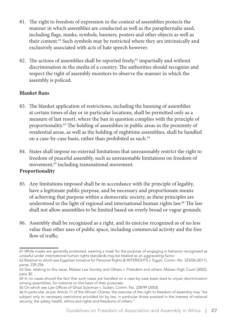- 81. The right to freedom of expression in the context of assemblies protects the manner in which assemblies are conducted as well as the paraphernalia used, including flags, masks, symbols, banners, posters and other objects as well as their content.61 Such symbols may be restricted where they are intrinsically and exclusively associated with acts of hate speech however.
- 82. The actions of assemblies shall be reported freely,<sup>62</sup> impartially and without discrimination in the media of a country. The authorities should recognize and respect the right of assembly monitors to observe the manner in which the assembly is policed.

#### **Blanket Bans**

- 83. The blanket application of restrictions, including the banning of assemblies at certain times of day or in particular locations, shall be permitted only as a measure of last resort, where the ban in question complies with the principle of proportionality.63 The holding of assemblies in public areas in the proximity of residential areas, as well as the holding of nighttime assemblies, shall be handled on a case-by-case basis, rather than prohibited as such.<sup>64</sup>
- 84. States shall impose no external limitations that unreasonably restrict the right to freedom of peaceful assembly, such as unreasonable limitations on freedom of movement,<sup>65</sup> including transnational movement.

#### **Proportionality**

- 85. Any limitations imposed shall be in accordance with the principle of legality, have a legitimate public purpose, and be necessary and proportionate means of achieving that purpose within a democratic society, as these principles are understood in the light of regional and international human rights law.<sup>66</sup> The law shall not allow assemblies to be limited based on overly broad or vague grounds.
- 86. Assembly shall be recognized as a right, and its exercise recognized as of no less value than other uses of public space, including commercial activity and the free flow of traffic.

<sup>61</sup> While masks are generally protected, wearing a mask for the purpose of engaging in behavior recognized as unlawful under international human rights standards may be treated as an aggravating factor.

<sup>62</sup> Relative to which see Egyptian Initiative for Personal Rights & INTERIGHTS v. Egypt, Comm. No. 323/06 (2011), paras. 239-256.

<sup>63</sup> See, relating to this issue, Malawi Law Society and Others v. President and others, Malawi High Court (2002), para 30.

<sup>64</sup> In no cases should the fact that such cases are handled on a case-by-case basis lead to unjust discrimination among assemblies, for instance on the basis of their purposes.

<sup>65</sup> On which see Law Offices of Ghazi Suleiman v. Sudan, Comm. No. 228/99 (2003).

<sup>66</sup> In particular, as per Article 11 of the African Charter, the exercise of the right to freedom of assembly may "be subject only to necessary restrictions provided for by law, in particular those enacted in the interest of national security, the safety, health, ethics and rights and freedoms of others."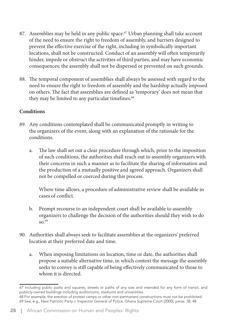- 87. Assemblies may be held in any public space.<sup>67</sup> Urban planning shall take account of the need to ensure the right to freedom of assembly, and barriers designed to prevent the effective exercise of the right, including in symbolically important locations, shall not be constructed. Conduct of an assembly will often temporarily hinder, impede or obstruct the activities of third parties, and may have economic consequences; the assembly shall not be dispersed or prevented on such grounds.
- 88. The temporal component of assemblies shall always be assessed with regard to the need to ensure the right to freedom of assembly and the hardship actually imposed on others. The fact that assemblies are defined as 'temporary' does not mean that they may be limited to any particular timelines.<sup>68</sup>

#### **Conditions**

- 89. Any conditions contemplated shall be communicated promptly in writing to the organizers of the event, along with an explanation of the rationale for the conditions.
	- a. The law shall set out a clear procedure through which, prior to the imposition of such conditions, the authorities shall reach out to assembly organizers with their concerns in such a manner as to facilitate the sharing of information and the production of a mutually positive and agreed approach. Organizers shall not be compelled or coerced during this process.

Where time allows, a procedure of administrative review shall be available in cases of conflict.

- b. Prompt recourse to an independent court shall be available to assembly organizers to challenge the decision of the authorities should they wish to do so.69
- 90. Authorities shall always seek to facilitate assemblies at the organizers' preferred location at their preferred date and time.
	- a. When imposing limitations on location, time or date, the authorities shall propose a suitable alternative time, in which context the message the assembly seeks to convey is still capable of being effectively communicated to those to whom it is directed.

<sup>67</sup> Including public parks and squares, streets or paths of any size and intended for any form of transit, and publicly-owned buildings including auditoriums, stadiums and universities.

<sup>68</sup> For example, the erection of protest camps or other non-permanent constructions must not be prohibited. 69 See, e.g., New Patriotic Party v. Inspector General of Police, Ghana Supreme Court (2000), paras. 38, 48.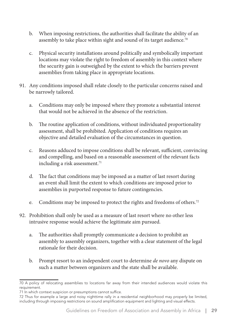- b. When imposing restrictions, the authorities shall facilitate the ability of an assembly to take place within sight and sound of its target audience.<sup>70</sup>
- c. Physical security installations around politically and symbolically important locations may violate the right to freedom of assembly in this context where the security gain is outweighed by the extent to which the barriers prevent assemblies from taking place in appropriate locations.
- 91. Any conditions imposed shall relate closely to the particular concerns raised and be narrowly tailored.
	- a. Conditions may only be imposed where they promote a substantial interest that would not be achieved in the absence of the restriction.
	- b. The routine application of conditions, without individuated proportionality assessment, shall be prohibited. Application of conditions requires an objective and detailed evaluation of the circumstances in question.
	- c. Reasons adduced to impose conditions shall be relevant, sufficient, convincing and compelling, and based on a reasonable assessment of the relevant facts including a risk assessment.<sup>71</sup>
	- d. The fact that conditions may be imposed as a matter of last resort during an event shall limit the extent to which conditions are imposed prior to assemblies in purported response to future contingencies.
	- e. Conditions may be imposed to protect the rights and freedoms of others.72
- 92. Prohibition shall only be used as a measure of last resort where no other less intrusive response would achieve the legitimate aim pursued.
	- a. The authorities shall promptly communicate a decision to prohibit an assembly to assembly organizers, together with a clear statement of the legal rationale for their decision.
	- b. Prompt resort to an independent court to determine *de novo* any dispute on such a matter between organizers and the state shall be available.

<sup>70</sup> A policy of relocating assemblies to locations far away from their intended audiences would violate this requirement.

<sup>71</sup> In which context suspicion or presumptions cannot suffice.

<sup>72</sup> Thus for example a large and noisy nighttime rally in a residential neighborhood may properly be limited, including through imposing restrictions on sound amplification equipment and lighting and visual effects.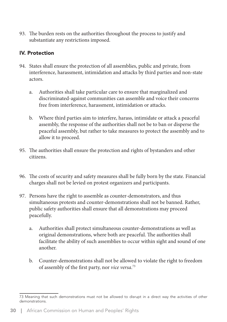93. The burden rests on the authorities throughout the process to justify and substantiate any restrictions imposed.

#### IV. Protection

- 94. States shall ensure the protection of all assemblies, public and private, from interference, harassment, intimidation and attacks by third parties and non-state actors.
	- a. Authorities shall take particular care to ensure that marginalized and discriminated-against communities can assemble and voice their concerns free from interference, harassment, intimidation or attacks.
	- b. Where third parties aim to interfere, harass, intimidate or attack a peaceful assembly, the response of the authorities shall not be to ban or disperse the peaceful assembly, but rather to take measures to protect the assembly and to allow it to proceed.
- 95. The authorities shall ensure the protection and rights of bystanders and other citizens.
- 96. The costs of security and safety measures shall be fully born by the state. Financial charges shall not be levied on protest organizers and participants.
- 97. Persons have the right to assemble as counter-demonstrators, and thus simultaneous protests and counter-demonstrations shall not be banned. Rather, public safety authorities shall ensure that all demonstrations may proceed peacefully.
	- a. Authorities shall protect simultaneous counter-demonstrations as well as original demonstrations, where both are peaceful. The authorities shall facilitate the ability of such assemblies to occur within sight and sound of one another.
	- b. Counter-demonstrations shall not be allowed to violate the right to freedom of assembly of the first party, nor *vice versa*. 73

<sup>73</sup> Meaning that such demonstrations must not be allowed to disrupt in a direct way the activities of other demonstrations.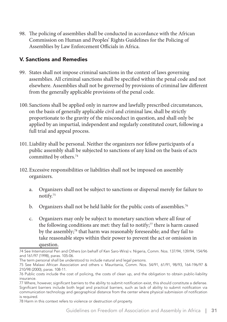98. The policing of assemblies shall be conducted in accordance with the African Commission on Human and Peoples' Rights Guidelines for the Policing of Assemblies by Law Enforcement Officials in Africa.

#### V. Sanctions and Remedies

- 99. States shall not impose criminal sanctions in the context of laws governing assemblies. All criminal sanctions shall be specified within the penal code and not elsewhere. Assemblies shall not be governed by provisions of criminal law different from the generally applicable provisions of the penal code.
- 100. Sanctions shall be applied only in narrow and lawfully prescribed circumstances, on the basis of generally applicable civil and criminal law, shall be strictly proportionate to the gravity of the misconduct in question, and shall only be applied by an impartial, independent and regularly constituted court, following a full trial and appeal process.
- 101.Liability shall be personal. Neither the organizers nor fellow participants of a public assembly shall be subjected to sanctions of any kind on the basis of acts committed by others.<sup>74</sup>
- 102.Excessive responsibilities or liabilities shall not be imposed on assembly organizers.
	- a. Organizers shall not be subject to sanctions or dispersal merely for failure to notify.75
	- b. Organizers shall not be held liable for the public costs of assemblies.<sup>76</sup>
	- c. Organizers may only be subject to monetary sanction where all four of the following conditions are met: they fail to notify;<sup>77</sup> there is harm caused by the assembly;78 that harm was reasonably foreseeable; and they fail to take reasonable steps within their power to prevent the act or omission in question.

<sup>74</sup> See International Pen and Others (on behalf of Ken Saro-Wira) v. Nigeria, Comm. Nos. 137/94, 139/94, 154/96 and 161/97 (1998), paras. 105-06.

The term personal shall be understood to include natural and legal persons.

<sup>75</sup> See Malawi African Association and others v. Mauritania, Comm. Nos. 54/91, 61/91, 98/93, 164-196/97 & 210/98 (2000), paras. 108-11.

<sup>76</sup> Public costs include the cost of policing, the costs of clean up, and the obligation to obtain public-liability insurance.

<sup>77</sup> Where, however, significant barriers to the ability to submit notification exist, this should constitute a defense. Significant barriers include both legal and practical barriers, such as lack of ability to submit notification via communication technology and geographical distance from the center where physical submission of notification is required.

<sup>78</sup> Harm in this context refers to violence or destruction of property.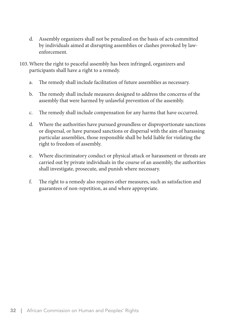- d. Assembly organizers shall not be penalized on the basis of acts committed by individuals aimed at disrupting assemblies or clashes provoked by lawenforcement.
- 103.Where the right to peaceful assembly has been infringed, organizers and participants shall have a right to a remedy.
	- a. The remedy shall include facilitation of future assemblies as necessary.
	- b. The remedy shall include measures designed to address the concerns of the assembly that were harmed by unlawful prevention of the assembly.
	- c. The remedy shall include compensation for any harms that have occurred.
	- d. Where the authorities have pursued groundless or disproportionate sanctions or dispersal, or have pursued sanctions or dispersal with the aim of harassing particular assemblies, those responsible shall be held liable for violating the right to freedom of assembly.
	- e. Where discriminatory conduct or physical attack or harassment or threats are carried out by private individuals in the course of an assembly, the authorities shall investigate, prosecute, and punish where necessary.
	- f. The right to a remedy also requires other measures, such as satisfaction and guarantees of non-repetition, as and where appropriate.